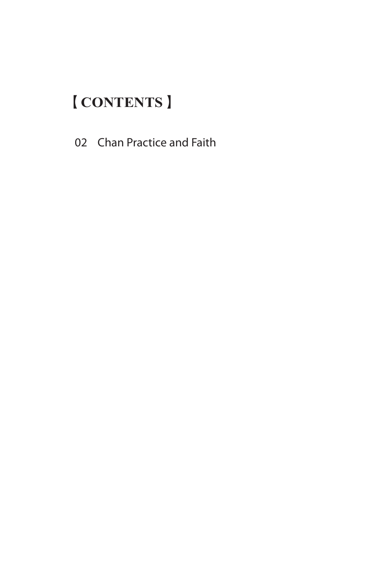## 【**CONTENTS**】

02 Chan Practice and Faith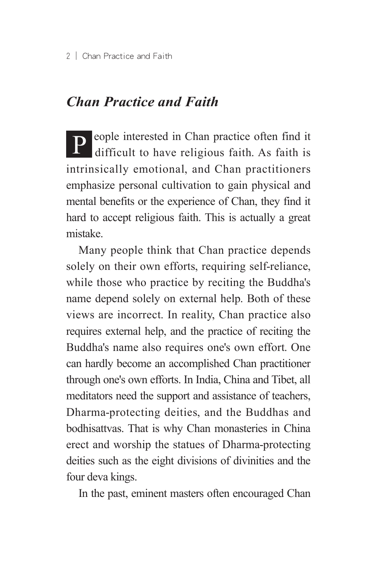## *Chan Practice and Faith*

**P** eople interested in Chan practice often find it difficult to have religious faith. As faith is intrinsically emotional, and Chan practitioners emphasize personal cultivation to gain physical and mental benefits or the experience of Chan, they find it hard to accept religious faith. This is actually a great mistake.

Many people think that Chan practice depends solely on their own efforts, requiring self-reliance, while those who practice by reciting the Buddha's name depend solely on external help. Both of these views are incorrect. In reality, Chan practice also requires external help, and the practice of reciting the Buddha's name also requires one's own effort. One can hardly become an accomplished Chan practitioner through one's own efforts. In India, China and Tibet, all meditators need the support and assistance of teachers, Dharma-protecting deities, and the Buddhas and bodhisattvas. That is why Chan monasteries in China erect and worship the statues of Dharma-protecting deities such as the eight divisions of divinities and the four deva kings.

In the past, eminent masters often encouraged Chan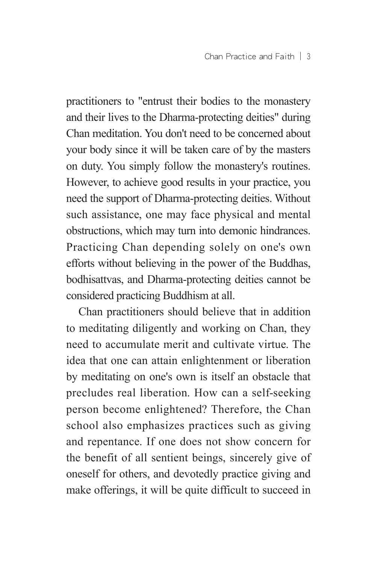practitioners to "entrust their bodies to the monastery and their lives to the Dharma-protecting deities" during Chan meditation. You don't need to be concerned about your body since it will be taken care of by the masters on duty. You simply follow the monastery's routines. However, to achieve good results in your practice, you need the support of Dharma-protecting deities. Without such assistance, one may face physical and mental obstructions, which may turn into demonic hindrances. Practicing Chan depending solely on one's own efforts without believing in the power of the Buddhas, bodhisattvas, and Dharma-protecting deities cannot be considered practicing Buddhism at all.

Chan practitioners should believe that in addition to meditating diligently and working on Chan, they need to accumulate merit and cultivate virtue. The idea that one can attain enlightenment or liberation by meditating on one's own is itself an obstacle that precludes real liberation. How can a self-seeking person become enlightened? Therefore, the Chan school also emphasizes practices such as giving and repentance. If one does not show concern for the benefit of all sentient beings, sincerely give of oneself for others, and devotedly practice giving and make offerings, it will be quite difficult to succeed in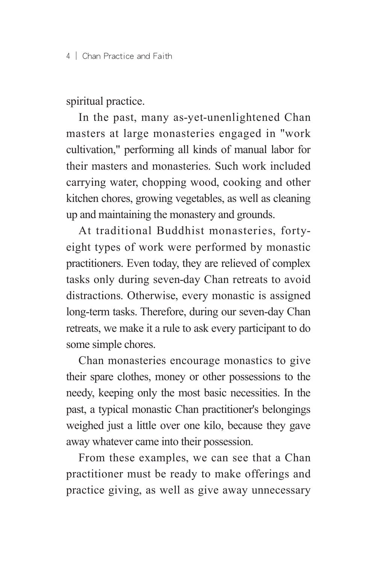spiritual practice.

In the past, many as-yet-unenlightened Chan masters at large monasteries engaged in "work cultivation," performing all kinds of manual labor for their masters and monasteries. Such work included carrying water, chopping wood, cooking and other kitchen chores, growing vegetables, as well as cleaning up and maintaining the monastery and grounds.

At traditional Buddhist monasteries, fortyeight types of work were performed by monastic practitioners. Even today, they are relieved of complex tasks only during seven-day Chan retreats to avoid distractions. Otherwise, every monastic is assigned long-term tasks. Therefore, during our seven-day Chan retreats, we make it a rule to ask every participant to do some simple chores.

Chan monasteries encourage monastics to give their spare clothes, money or other possessions to the needy, keeping only the most basic necessities. In the past, a typical monastic Chan practitioner's belongings weighed just a little over one kilo, because they gave away whatever came into their possession.

From these examples, we can see that a Chan practitioner must be ready to make offerings and practice giving, as well as give away unnecessary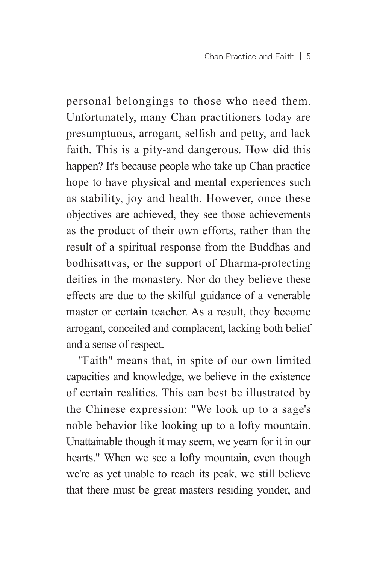personal belongings to those who need them. Unfortunately, many Chan practitioners today are presumptuous, arrogant, selfish and petty, and lack faith. This is a pity-and dangerous. How did this happen? It's because people who take up Chan practice hope to have physical and mental experiences such as stability, joy and health. However, once these objectives are achieved, they see those achievements as the product of their own efforts, rather than the result of a spiritual response from the Buddhas and bodhisattvas, or the support of Dharma-protecting deities in the monastery. Nor do they believe these effects are due to the skilful guidance of a venerable master or certain teacher. As a result, they become arrogant, conceited and complacent, lacking both belief and a sense of respect.

"Faith" means that, in spite of our own limited capacities and knowledge, we believe in the existence of certain realities. This can best be illustrated by the Chinese expression: "We look up to a sage's noble behavior like looking up to a lofty mountain. Unattainable though it may seem, we yearn for it in our hearts." When we see a lofty mountain, even though we're as yet unable to reach its peak, we still believe that there must be great masters residing yonder, and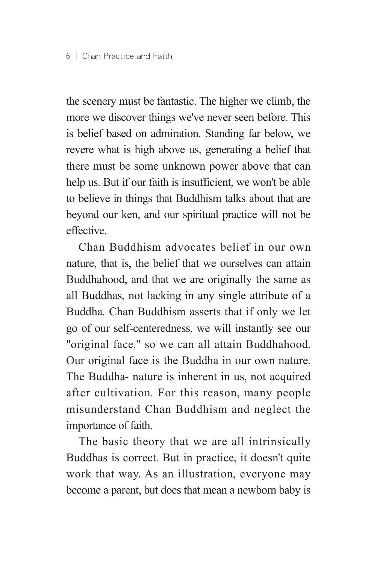the scenery must be fantastic. The higher we climb, the more we discover things we've never seen before. This is belief based on admiration. Standing far below, we revere what is high above us, generating a belief that there must be some unknown power above that can help us. But if our faith is insufficient, we won't be able to believe in things that Buddhism talks about that are beyond our ken, and our spiritual practice will not be effective.

Chan Buddhism advocates belief in our own nature, that is, the belief that we ourselves can attain Buddhahood, and that we are originally the same as all Buddhas, not lacking in any single attribute of a Buddha. Chan Buddhism asserts that if only we let go of our self-centeredness, we will instantly see our "original face," so we can all attain Buddhahood. Our original face is the Buddha in our own nature. The Buddha- nature is inherent in us, not acquired after cultivation. For this reason, many people misunderstand Chan Buddhism and neglect the importance of faith.

The basic theory that we are all intrinsically Buddhas is correct. But in practice, it doesn't quite work that way. As an illustration, everyone may become a parent, but does that mean a newborn baby is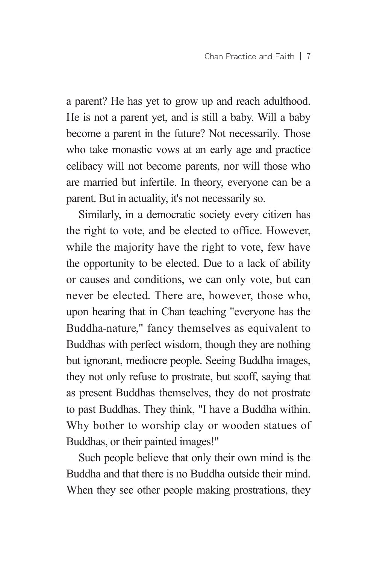a parent? He has yet to grow up and reach adulthood. He is not a parent yet, and is still a baby. Will a baby become a parent in the future? Not necessarily. Those who take monastic vows at an early age and practice celibacy will not become parents, nor will those who are married but infertile. In theory, everyone can be a parent. But in actuality, it's not necessarily so.

Similarly, in a democratic society every citizen has the right to vote, and be elected to office. However, while the majority have the right to vote, few have the opportunity to be elected. Due to a lack of ability or causes and conditions, we can only vote, but can never be elected. There are, however, those who, upon hearing that in Chan teaching "everyone has the Buddha-nature," fancy themselves as equivalent to Buddhas with perfect wisdom, though they are nothing but ignorant, mediocre people. Seeing Buddha images, they not only refuse to prostrate, but scoff, saying that as present Buddhas themselves, they do not prostrate to past Buddhas. They think, "I have a Buddha within. Why bother to worship clay or wooden statues of Buddhas, or their painted images!"

Such people believe that only their own mind is the Buddha and that there is no Buddha outside their mind. When they see other people making prostrations, they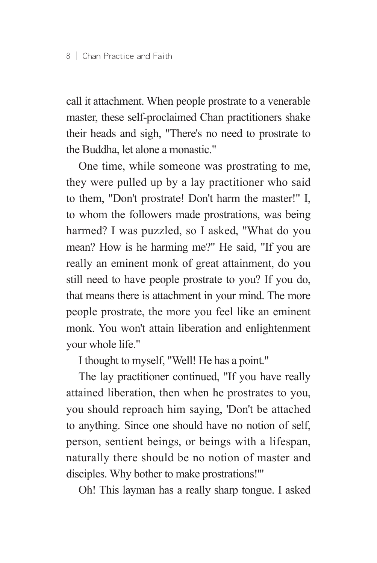call it attachment. When people prostrate to a venerable master, these self-proclaimed Chan practitioners shake their heads and sigh, "There's no need to prostrate to the Buddha, let alone a monastic."

One time, while someone was prostrating to me, they were pulled up by a lay practitioner who said to them, "Don't prostrate! Don't harm the master!" I, to whom the followers made prostrations, was being harmed? I was puzzled, so I asked, "What do you mean? How is he harming me?" He said, "If you are really an eminent monk of great attainment, do you still need to have people prostrate to you? If you do, that means there is attachment in your mind. The more people prostrate, the more you feel like an eminent monk. You won't attain liberation and enlightenment your whole life."

I thought to myself, "Well! He has a point."

The lay practitioner continued, "If you have really attained liberation, then when he prostrates to you, you should reproach him saying, 'Don't be attached to anything. Since one should have no notion of self, person, sentient beings, or beings with a lifespan, naturally there should be no notion of master and disciples. Why bother to make prostrations!'"

Oh! This layman has a really sharp tongue. I asked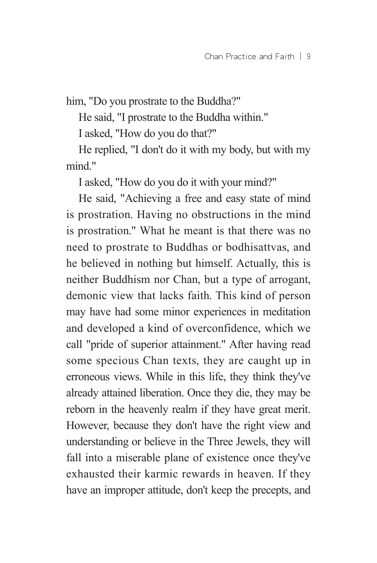him, "Do you prostrate to the Buddha?"

He said, "I prostrate to the Buddha within."

I asked, "How do you do that?"

He replied, "I don't do it with my body, but with my mind."

I asked, "How do you do it with your mind?"

He said, "Achieving a free and easy state of mind is prostration. Having no obstructions in the mind is prostration." What he meant is that there was no need to prostrate to Buddhas or bodhisattvas, and he believed in nothing but himself. Actually, this is neither Buddhism nor Chan, but a type of arrogant, demonic view that lacks faith. This kind of person may have had some minor experiences in meditation and developed a kind of overconfidence, which we call "pride of superior attainment." After having read some specious Chan texts, they are caught up in erroneous views. While in this life, they think they've already attained liberation. Once they die, they may be reborn in the heavenly realm if they have great merit. However, because they don't have the right view and understanding or believe in the Three Jewels, they will fall into a miserable plane of existence once they've exhausted their karmic rewards in heaven. If they have an improper attitude, don't keep the precepts, and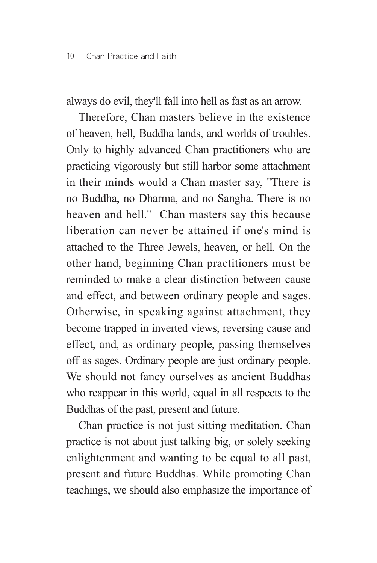always do evil, they'll fall into hell as fast as an arrow.

Therefore, Chan masters believe in the existence of heaven, hell, Buddha lands, and worlds of troubles. Only to highly advanced Chan practitioners who are practicing vigorously but still harbor some attachment in their minds would a Chan master say, "There is no Buddha, no Dharma, and no Sangha. There is no heaven and hell." Chan masters say this because liberation can never be attained if one's mind is attached to the Three Jewels, heaven, or hell. On the other hand, beginning Chan practitioners must be reminded to make a clear distinction between cause and effect, and between ordinary people and sages. Otherwise, in speaking against attachment, they become trapped in inverted views, reversing cause and effect, and, as ordinary people, passing themselves off as sages. Ordinary people are just ordinary people. We should not fancy ourselves as ancient Buddhas who reappear in this world, equal in all respects to the Buddhas of the past, present and future.

Chan practice is not just sitting meditation. Chan practice is not about just talking big, or solely seeking enlightenment and wanting to be equal to all past, present and future Buddhas. While promoting Chan teachings, we should also emphasize the importance of